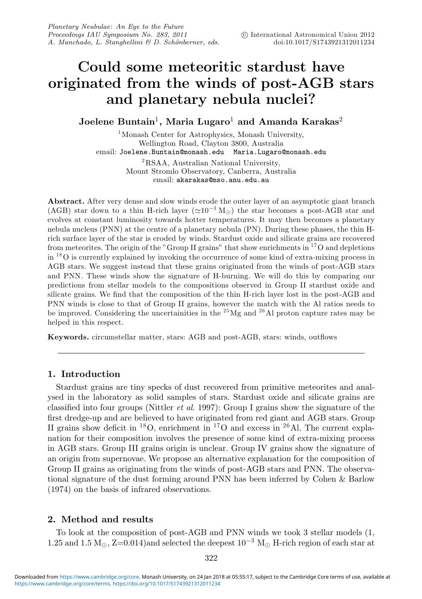# **Could some meteoritic stardust have originated from the winds of post-AGB stars and planetary nebula nuclei?**

**Joelene Buntain<sup>1</sup>, Maria Lugaro<sup>1</sup> and Amanda Karakas<sup>2</sup>** 

<sup>1</sup>Monash Center for Astrophysics, Monash University, Wellington Road, Clayton 3800, Australia email: Joelene.Buntain@monash.edu Maria.Lugaro@monash.edu 2RSAA, Australian National University, Mount Stromlo Observatory, Canberra, Australia email: akarakas@mso.anu.edu.au

**Abstract.** After very dense and slow winds erode the outer layer of an asymptotic giant branch (AGB) star down to a thin H-rich layer ( $\approx 10^{-3}$  M<sub>\opeq</sub>) the star becomes a post-AGB star and evolves at constant luminosity towards hotter temperatures. It may then becomes a planetary nebula nucleus (PNN) at the centre of a planetary nebula (PN). During these phases, the thin Hrich surface layer of the star is eroded by winds. Stardust oxide and silicate grains are recovered from meteorites. The origin of the "Group II grains" that show enrichments in  $17$ O and depletions  $\sin^{18}$ O is currently explained by invoking the occurrence of some kind of extra-mixing process in AGB stars. We suggest instead that these grains originated from the winds of post-AGB stars and PNN. These winds show the signature of H-burning. We will do this by comparing our predictions from stellar models to the compositions observed in Group II stardust oxide and silicate grains. We find that the composition of the thin H-rich layer lost in the post-AGB and PNN winds is close to that of Group II grains, however the match with the Al ratios needs to be improved. Considering the uncertainities in the  $^{25}Mg$  and  $^{26}Al$  proton capture rates may be helped in this respect.

**Keywords.** circumstellar matter, stars: AGB and post-AGB, stars: winds, outflows

## **1. Introduction**

Stardust grains are tiny specks of dust recovered from primitive meteorites and analysed in the laboratory as solid samples of stars. Stardust oxide and silicate grains are classified into four groups (Nittler et al. 1997): Group I grains show the signature of the first dredge-up and are believed to have originated from red giant and AGB stars. Group II grains show deficit in <sup>18</sup>O, enrichment in <sup>17</sup>O and excess in <sup>26</sup>Al. The current explanation for their composition involves the presence of some kind of extra-mixing process in AGB stars. Group III grains origin is unclear. Group IV grains show the signature of an origin from supernovae. We propose an alternative explanation for the composition of Group II grains as originating from the winds of post-AGB stars and PNN. The observational signature of the dust forming around PNN has been inferred by Cohen & Barlow (1974) on the basis of infrared observations.

## **2. Method and results**

To look at the composition of post-AGB and PNN winds we took 3 stellar models (1, 1.25 and 1.5 M<sub> $\odot$ </sub>, Z=0.014)and selected the deepest 10<sup>-3</sup> M<sub> $\odot$ </sub> H-rich region of each star at